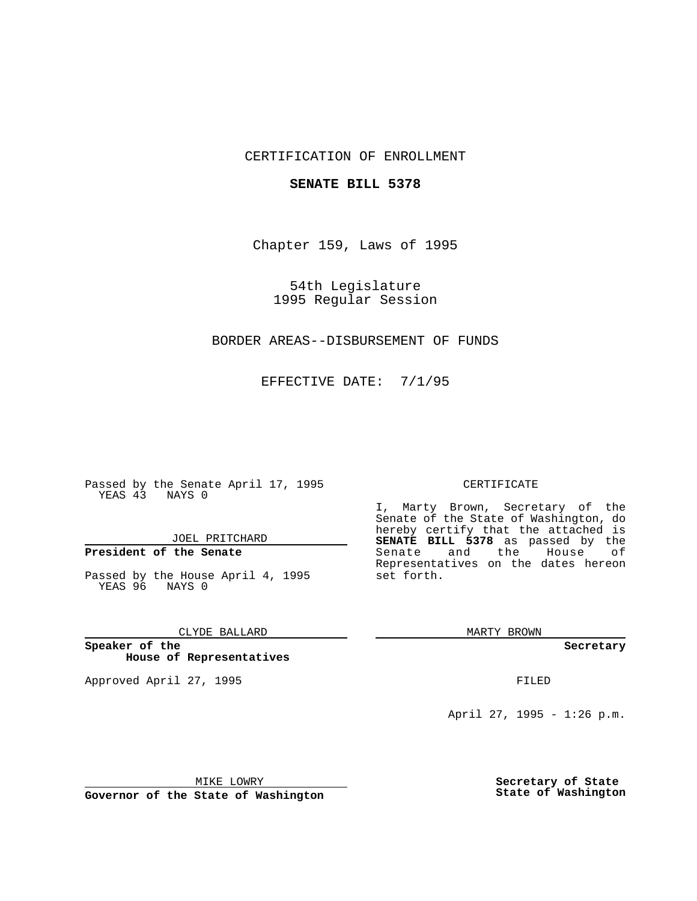## CERTIFICATION OF ENROLLMENT

## **SENATE BILL 5378**

Chapter 159, Laws of 1995

54th Legislature 1995 Regular Session

## BORDER AREAS--DISBURSEMENT OF FUNDS

EFFECTIVE DATE: 7/1/95

Passed by the Senate April 17, 1995 YEAS 43 NAYS 0

JOEL PRITCHARD

# **President of the Senate**

Passed by the House April 4, 1995 YEAS 96 NAYS 0

CLYDE BALLARD

**Speaker of the House of Representatives**

Approved April 27, 1995 FILED

#### CERTIFICATE

I, Marty Brown, Secretary of the Senate of the State of Washington, do hereby certify that the attached is **SENATE BILL 5378** as passed by the Senate and the House of Representatives on the dates hereon set forth.

MARTY BROWN

**Secretary**

April 27, 1995 - 1:26 p.m.

MIKE LOWRY

**Governor of the State of Washington**

**Secretary of State State of Washington**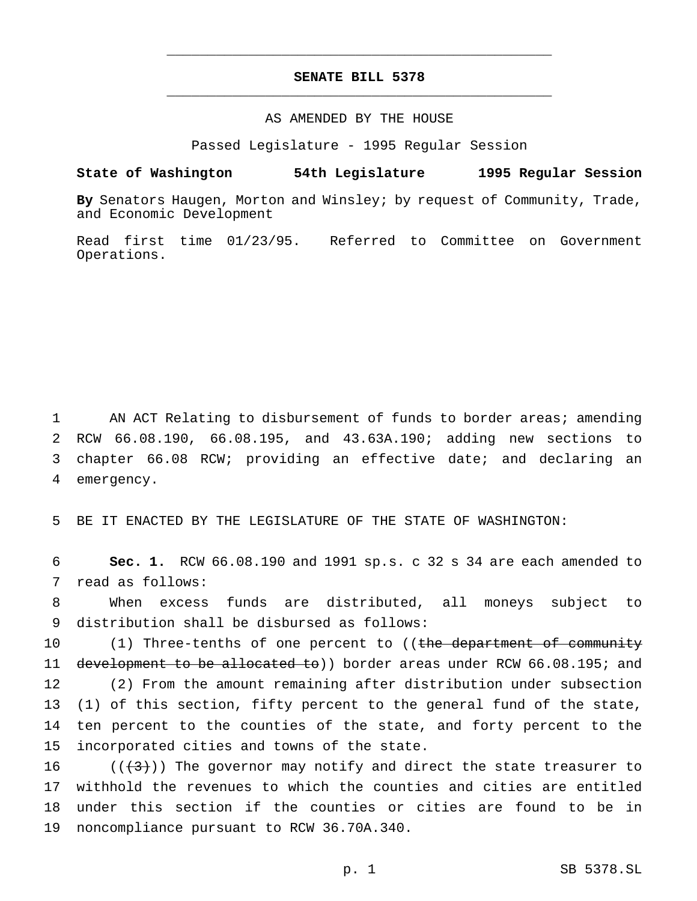## **SENATE BILL 5378** \_\_\_\_\_\_\_\_\_\_\_\_\_\_\_\_\_\_\_\_\_\_\_\_\_\_\_\_\_\_\_\_\_\_\_\_\_\_\_\_\_\_\_\_\_\_\_

\_\_\_\_\_\_\_\_\_\_\_\_\_\_\_\_\_\_\_\_\_\_\_\_\_\_\_\_\_\_\_\_\_\_\_\_\_\_\_\_\_\_\_\_\_\_\_

## AS AMENDED BY THE HOUSE

Passed Legislature - 1995 Regular Session

#### **State of Washington 54th Legislature 1995 Regular Session**

**By** Senators Haugen, Morton and Winsley; by request of Community, Trade, and Economic Development

Read first time 01/23/95. Referred to Committee on Government Operations.

1 AN ACT Relating to disbursement of funds to border areas; amending RCW 66.08.190, 66.08.195, and 43.63A.190; adding new sections to chapter 66.08 RCW; providing an effective date; and declaring an emergency.

5 BE IT ENACTED BY THE LEGISLATURE OF THE STATE OF WASHINGTON:

6 **Sec. 1.** RCW 66.08.190 and 1991 sp.s. c 32 s 34 are each amended to 7 read as follows:

8 When excess funds are distributed, all moneys subject to 9 distribution shall be disbursed as follows:

10 (1) Three-tenths of one percent to ((the department of community 11 development to be allocated to)) border areas under RCW 66.08.195; and 12 (2) From the amount remaining after distribution under subsection 13 (1) of this section, fifty percent to the general fund of the state, 14 ten percent to the counties of the state, and forty percent to the 15 incorporated cities and towns of the state.

 $((+3))$  The governor may notify and direct the state treasurer to withhold the revenues to which the counties and cities are entitled under this section if the counties or cities are found to be in noncompliance pursuant to RCW 36.70A.340.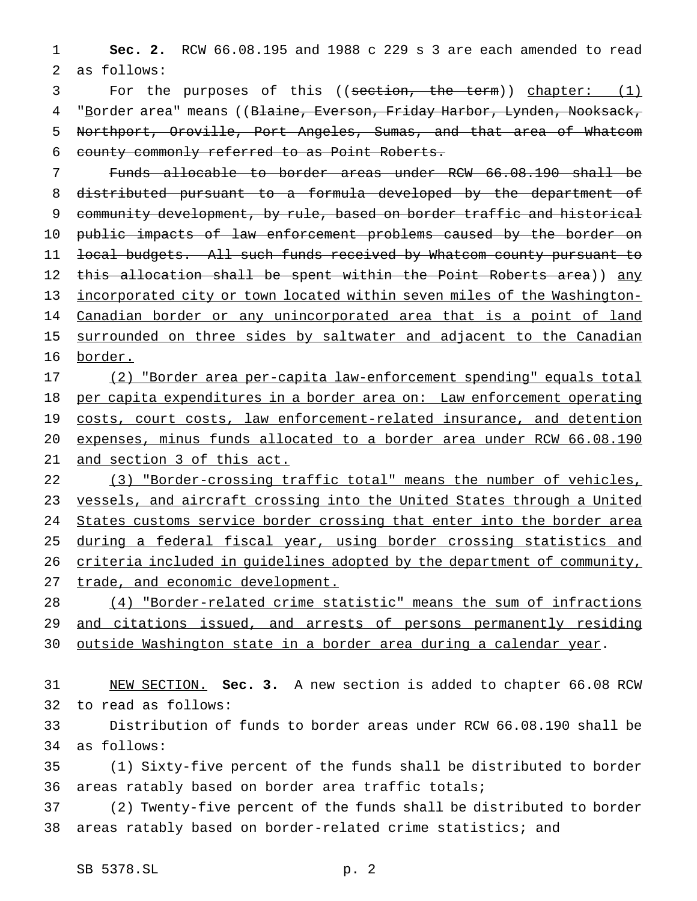**Sec. 2.** RCW 66.08.195 and 1988 c 229 s 3 are each amended to read as follows:

3 For the purposes of this ((section, the term)) chapter: (1) 4 "Border area" means ((Blaine, Everson, Friday Harbor, Lynden, Nooksack, Northport, Oroville, Port Angeles, Sumas, and that area of Whatcom county commonly referred to as Point Roberts.

 Funds allocable to border areas under RCW 66.08.190 shall be distributed pursuant to a formula developed by the department of community development, by rule, based on border traffic and historical public impacts of law enforcement problems caused by the border on local budgets. All such funds received by Whatcom county pursuant to 12 this allocation shall be spent within the Point Roberts area)) any incorporated city or town located within seven miles of the Washington-14 Canadian border or any unincorporated area that is a point of land 15 surrounded on three sides by saltwater and adjacent to the Canadian border.

 (2) "Border area per-capita law-enforcement spending" equals total per capita expenditures in a border area on: Law enforcement operating 19 costs, court costs, law enforcement-related insurance, and detention expenses, minus funds allocated to a border area under RCW 66.08.190 21 and section 3 of this act.

22 (3) "Border-crossing traffic total" means the number of vehicles, vessels, and aircraft crossing into the United States through a United States customs service border crossing that enter into the border area 25 during a federal fiscal year, using border crossing statistics and criteria included in guidelines adopted by the department of community, 27 trade, and economic development.

 (4) "Border-related crime statistic" means the sum of infractions 29 and citations issued, and arrests of persons permanently residing outside Washington state in a border area during a calendar year.

 NEW SECTION. **Sec. 3.** A new section is added to chapter 66.08 RCW to read as follows:

 Distribution of funds to border areas under RCW 66.08.190 shall be as follows:

 (1) Sixty-five percent of the funds shall be distributed to border areas ratably based on border area traffic totals;

 (2) Twenty-five percent of the funds shall be distributed to border areas ratably based on border-related crime statistics; and